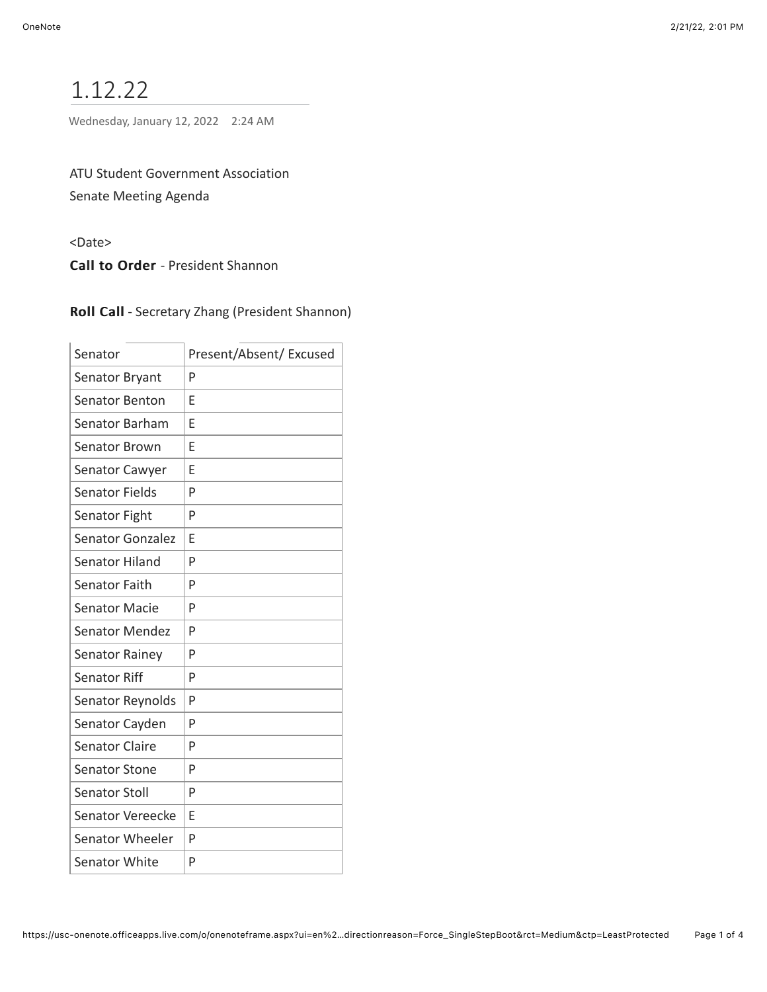# 1.12.22

Wednesday, January 12, 2022 2:24 AM

ATU Student Government Association Senate Meeting Agenda

<Date>

Call to Order - President Shannon

| Senator                 | Present/Absent/ Excused |
|-------------------------|-------------------------|
| Senator Bryant          | P                       |
| <b>Senator Benton</b>   | F                       |
| Senator Barham          | E                       |
| <b>Senator Brown</b>    | E                       |
| Senator Cawyer          | F                       |
| <b>Senator Fields</b>   | P                       |
| Senator Fight           | P                       |
| <b>Senator Gonzalez</b> | F                       |
| Senator Hiland          | P                       |
| <b>Senator Faith</b>    | P                       |
| <b>Senator Macie</b>    | P                       |
| <b>Senator Mendez</b>   | P                       |
| Senator Rainey          | P                       |
| <b>Senator Riff</b>     | P                       |
| Senator Reynolds        | P                       |
| Senator Cayden          | P                       |
| <b>Senator Claire</b>   | P                       |
| <b>Senator Stone</b>    | P                       |
| <b>Senator Stoll</b>    | P                       |
| Senator Vereecke        | E                       |
| Senator Wheeler         | P                       |
| <b>Senator White</b>    | P                       |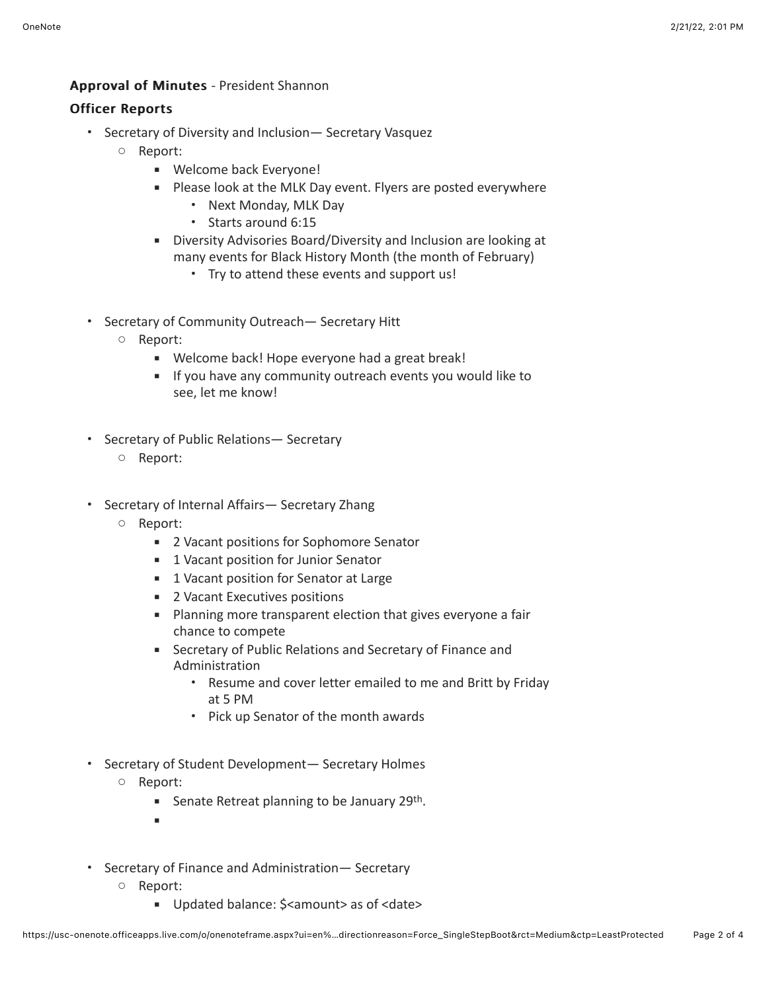#### Approval of Minutes - President Shannon

## **Officer Reports**

- Secretary of Diversity and Inclusion— Secretary Vasquez
	- Report:
		- Welcome back Everyone!
		- Please look at the MLK Day event. Flyers are posted everywhere
			- Next Monday, MLK Day
			- Starts around 6:15
		- **EXECT:** Diversity Advisories Board/Diversity and Inclusion are looking at many events for Black History Month (the month of February)
			- Try to attend these events and support us!
- Secretary of Community Outreach— Secretary Hitt
	- Report:
		- Welcome back! Hope everyone had a great break!
		- **EXECT** If you have any community outreach events you would like to see, let me know!
- Secretary of Public Relations— Secretary
	- Report:
- Secretary of Internal Affairs— Secretary Zhang
	- Report:
		- 2 Vacant positions for Sophomore Senator
		- **■** 1 Vacant position for Junior Senator
		- 1 Vacant position for Senator at Large
		- 2 Vacant Executives positions
		- Planning more transparent election that gives everyone a fair chance to compete
		- Secretary of Public Relations and Secretary of Finance and Administration
			- Resume and cover letter emailed to me and Britt by Friday at 5 PM
			- Pick up Senator of the month awards
- Secretary of Student Development— Secretary Holmes
	- Report:
		- Senate Retreat planning to be January 29<sup>th</sup>.
		- ▪
- Secretary of Finance and Administration— Secretary
	- Report:
		- Updated balance: \$<amount> as of <date>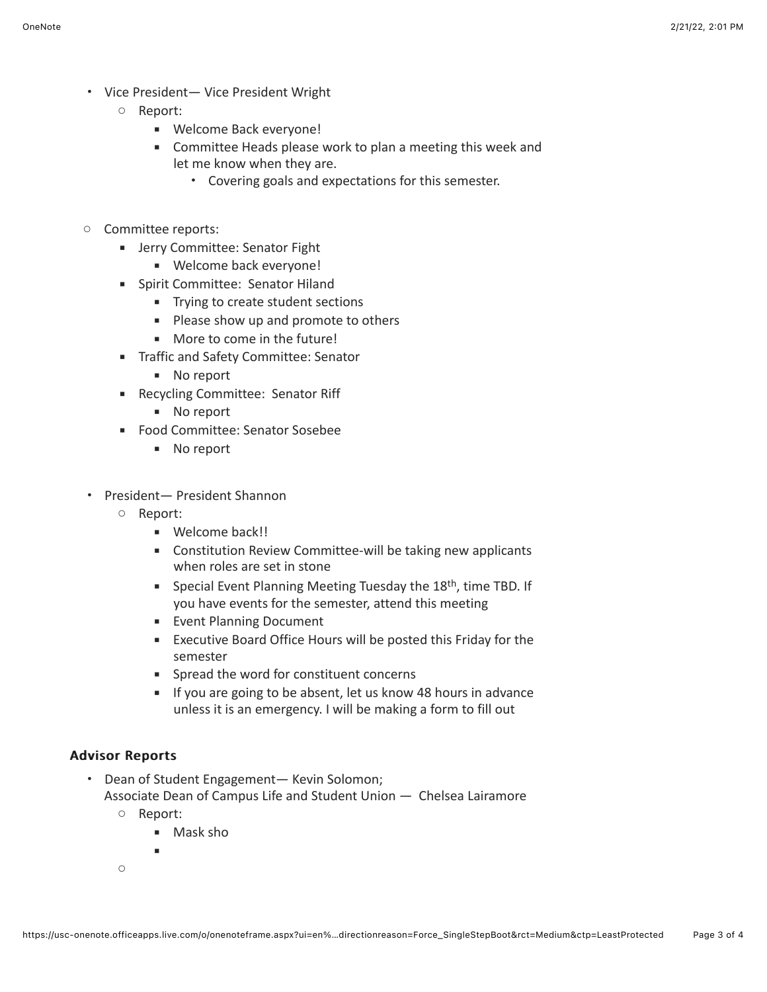- Vice President— Vice President Wright
	- Report:
		- Welcome Back everyone!
		- Committee Heads please work to plan a meeting this week and let me know when they are.
			- Covering goals and expectations for this semester.
- Committee reports:
	- **EXECOMMITTEE: Senator Fight** 
		- Welcome back everyone!
	- **EXEC** Spirit Committee: Senator Hiland
		- **■** Trying to create student sections
		- Please show up and promote to others
		- More to come in the future!
	- **■** Traffic and Safety Committee: Senator
		- No report
	- Recycling Committee: Senator Riff
		- No report
	- Food Committee: Senator Sosebee
		- No report
- President— President Shannon
	- Report:
		- Welcome back!!
		- Constitution Review Committee-will be taking new applicants when roles are set in stone
		- Special Event Planning Meeting Tuesday the 18<sup>th</sup>, time TBD. If you have events for the semester, attend this meeting
		- **Event Planning Document**
		- **Executive Board Office Hours will be posted this Friday for the** semester
		- Spread the word for constituent concerns
		- **EXECT** If you are going to be absent, let us know 48 hours in advance unless it is an emergency. I will be making a form to fill out

## Advisor Reports Advisor Reports

- Dean of Student Engagement— Kevin Solomon; Associate Dean of Campus Life and Student Union — Chelsea Lairamore
	- Report:
		- Mask sho
		-

▪

 $\circ$